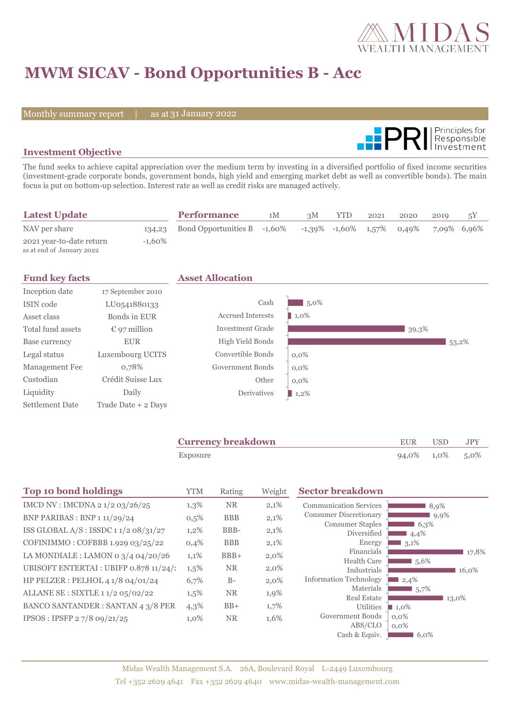

# **MWM SICAV - Bond Opportunities B - Acc**

Monthly summary report | as at 31 January 2022



### **Investment Objective**

The fund seeks to achieve capital appreciation over the medium term by investing in a diversified portfolio of fixed income securities (investment-grade corporate bonds, government bonds, high yield and emerging market debt as well as convertible bonds). The main focus is put on bottom-up selection. Interest rate as well as credit risks are managed actively.

| <b>Latest Update</b>                                  |        | <b>Performance</b>          | 1M | 3M | <b>YTD</b>                            | 2021 | 2020 | 2019        | 5Υ |
|-------------------------------------------------------|--------|-----------------------------|----|----|---------------------------------------|------|------|-------------|----|
| NAV per share                                         | 134,23 | Bond Opportunities B -1,60% |    |    | $-1,39\%$ $-1,60\%$ $1,57\%$ $0,49\%$ |      |      | 7,09% 6,96% |    |
| 2021 year-to-date return<br>as at end of January 2022 | -1.60% |                             |    |    |                                       |      |      |             |    |

| <b>Fund key facts</b>  |                       | <b>Asset Allocation</b>  |                     |       |       |
|------------------------|-----------------------|--------------------------|---------------------|-------|-------|
| Inception date         | 17 September 2010     |                          |                     |       |       |
| ISIN code              | LU0541880133          | Cash                     | $5,0\%$             |       |       |
| Asset class            | Bonds in EUR          | <b>Accrued Interests</b> | $\blacksquare$ 1,0% |       |       |
| Total fund assets      | $\epsilon$ 97 million | Investment Grade         |                     | 39,3% |       |
| Base currency          | <b>EUR</b>            | High Yield Bonds         |                     |       | 53,2% |
| Legal status           | Luxembourg UCITS      | Convertible Bonds        | $0,0\%$             |       |       |
| Management Fee         | 0,78%                 | Government Bonds         | $0.0\%$             |       |       |
| Custodian              | Crédit Suisse Lux     | Other                    | $0.0\%$             |       |       |
| Liquidity              | Daily                 | Derivatives              | $\blacksquare$ 1,2% |       |       |
| <b>Settlement Date</b> | Trade Date + 2 Days   |                          |                     |       |       |

| <b>Currency breakdown</b> | <b>EUR</b>      | <b>USD</b> | <b>JPY</b> |
|---------------------------|-----------------|------------|------------|
| Exposure                  | 94,0% 1,0% 5,0% |            |            |

| <b>Top 10 bond holdings</b>              | <b>YTM</b> | Rating     | Weight | <b>Sector breakdown</b>                |                              |
|------------------------------------------|------------|------------|--------|----------------------------------------|------------------------------|
| IMCD NV : IMCDNA 2 1/2 03/26/25          | $1,3\%$    | <b>NR</b>  | 2,1%   | <b>Communication Services</b>          | 8,9%                         |
| BNP PARIBAS : BNP 1 11/29/24             | $0,5\%$    | <b>BBB</b> | 2,1%   | <b>Consumer Discretionary</b>          | $9,9\%$                      |
| ISS GLOBAL A/S: ISSDC 11/2 08/31/27      | $1,2\%$    | BBB-       | 2,1%   | <b>Consumer Staples</b><br>Diversified | 6,3%<br>4,4%                 |
| COFINIMMO: COFBBB 1.929 03/25/22         | 0,4%       | <b>BBB</b> | 2,1%   | Energy                                 | 3,1%                         |
| LA MONDIALE : LAMON 0 $3/4$ 04/20/26     | 1,1%       | $BBB+$     | 2,0%   | Financials<br><b>Health Care</b>       | 17,8%                        |
| UBISOFT ENTERTAI : UBIFP 0.878 11/24/1   | 1,5%       | <b>NR</b>  | 2,0%   | Industrials                            | $1,5,6\%$<br>16,0%           |
| HP PELZER : PELHOL 4 1/8 04/01/24        | 6,7%       | $B-$       | 2,0%   | <b>Information Technology</b>          | 2,4%                         |
| ALLANE SE : SIXTLE 1 1/2 05/02/22        | 1,5%       | <b>NR</b>  | 1,9%   | Materials                              | 5,7%                         |
| <b>BANCO SANTANDER: SANTAN 4 3/8 PER</b> | $4,3\%$    | $BB+$      | 1,7%   | <b>Real Estate</b><br>Utilities        | 13,0%<br>$\blacksquare$ 1,0% |
| IPSOS: IPSFP 27/8 09/21/25               | 1,0%       | <b>NR</b>  | 1,6%   | Government Bonds                       | $0.0\%$                      |
|                                          |            |            |        | ABS/CLO                                | $0,0\%$                      |
|                                          |            |            |        | Cash & Equiv.                          | 6,0%                         |